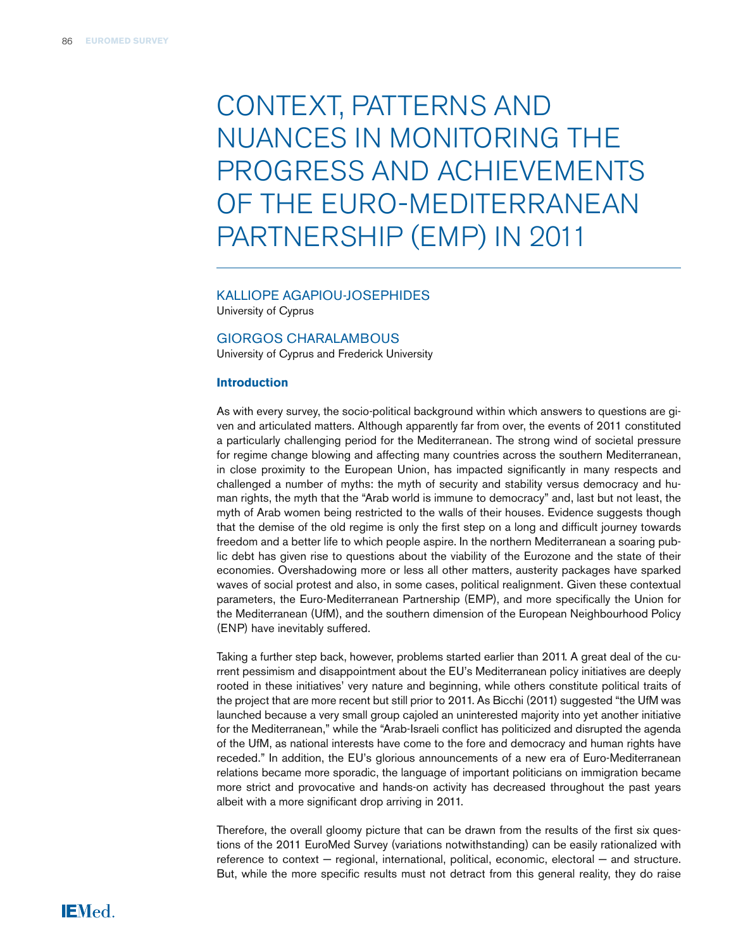# Context, Patterns and Nuances in Monitoring the Progress and Achievements of the Euro-Mediterranean Partnership (EMP) in 2011

# Kalliope Agapiou-Josephides

University of Cyprus

### Giorgos Charalambous

University of Cyprus and Frederick University

### **Introduction**

As with every survey, the socio-political background within which answers to questions are given and articulated matters. Although apparently far from over, the events of 2011 constituted a particularly challenging period for the Mediterranean. The strong wind of societal pressure for regime change blowing and affecting many countries across the southern Mediterranean, in close proximity to the European Union, has impacted significantly in many respects and challenged a number of myths: the myth of security and stability versus democracy and human rights, the myth that the "Arab world is immune to democracy" and, last but not least, the myth of Arab women being restricted to the walls of their houses. Evidence suggests though that the demise of the old regime is only the first step on a long and difficult journey towards freedom and a better life to which people aspire. In the northern Mediterranean a soaring public debt has given rise to questions about the viability of the Eurozone and the state of their economies. Overshadowing more or less all other matters, austerity packages have sparked waves of social protest and also, in some cases, political realignment. Given these contextual parameters, the Euro-Mediterranean Partnership (EMP), and more specifically the Union for the Mediterranean (UfM), and the southern dimension of the European Neighbourhood Policy (ENP) have inevitably suffered.

Taking a further step back, however, problems started earlier than 2011. A great deal of the current pessimism and disappointment about the EU's Mediterranean policy initiatives are deeply rooted in these initiatives' very nature and beginning, while others constitute political traits of the project that are more recent but still prior to 2011. As Bicchi (2011) suggested "the UfM was launched because a very small group cajoled an uninterested majority into yet another initiative for the Mediterranean," while the "Arab-Israeli conflict has politicized and disrupted the agenda of the UfM, as national interests have come to the fore and democracy and human rights have receded." In addition, the EU's glorious announcements of a new era of Euro-Mediterranean relations became more sporadic, the language of important politicians on immigration became more strict and provocative and hands-on activity has decreased throughout the past years albeit with a more significant drop arriving in 2011.

Therefore, the overall gloomy picture that can be drawn from the results of the first six questions of the 2011 EuroMed Survey (variations notwithstanding) can be easily rationalized with reference to context – regional, international, political, economic, electoral – and structure. But, while the more specific results must not detract from this general reality, they do raise

# IEMed.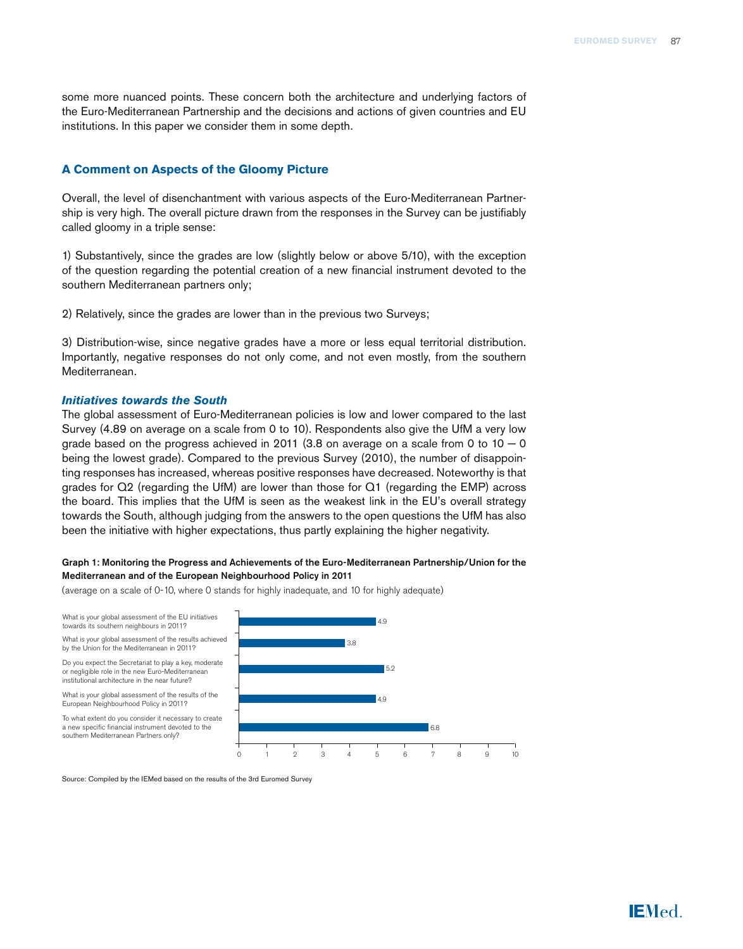some more nuanced points. These concern both the architecture and underlying factors of the Euro-Mediterranean Partnership and the decisions and actions of given countries and EU institutions. In this paper we consider them in some depth.

# **A Comment on Aspects of the Gloomy Picture**

Overall, the level of disenchantment with various aspects of the Euro-Mediterranean Partnership is very high. The overall picture drawn from the responses in the Survey can be justifiably called gloomy in a triple sense:

1) Substantively, since the grades are low (slightly below or above 5/10), with the exception of the question regarding the potential creation of a new financial instrument devoted to the southern Mediterranean partners only;

2) Relatively, since the grades are lower than in the previous two Surveys;

3) Distribution-wise, since negative grades have a more or less equal territorial distribution. Importantly, negative responses do not only come, and not even mostly, from the southern Mediterranean.

## *Initiatives towards the South*

The global assessment of Euro-Mediterranean policies is low and lower compared to the last Survey (4.89 on average on a scale from 0 to 10). Respondents also give the UfM a very low grade based on the progress achieved in 2011 (3.8 on average on a scale from 0 to  $10 - 0$ being the lowest grade). Compared to the previous Survey (2010), the number of disappointing responses has increased, whereas positive responses have decreased. Noteworthy is that grades for Q2 (regarding the UfM) are lower than those for Q1 (regarding the EMP) across the board. This implies that the UfM is seen as the weakest link in the EU's overall strategy towards the South, although judging from the answers to the open questions the UfM has also been the initiative with higher expectations, thus partly explaining the higher negativity.

#### Graph 1: Monitoring the Progress and Achievements of the Euro-Mediterranean Partnership/Union for the Mediterranean and of the European Neighbourhood Policy in 2011

(average on a scale of 0-10, where 0 stands for highly inadequate, and 10 for highly adequate)

What is your global assessment of the EU initiatives towards its southern neighbours in 2011? What is your global assessment of the results achieved by the Union for the Mediterranean in 2011? Do you expect the Secretariat to play a key, moderate or negligible role in the new Euro-Mediterranean institutional architecture in the near future? What is your global assessment of the results of the European Neighbourhood Policy in 2011? To what extent do you consider it necessary to create a new specific financial instrument devoted to the southern Mediterranean Partners only?  $5c$  $4.9$  6.8 4.9  $3.8$ 



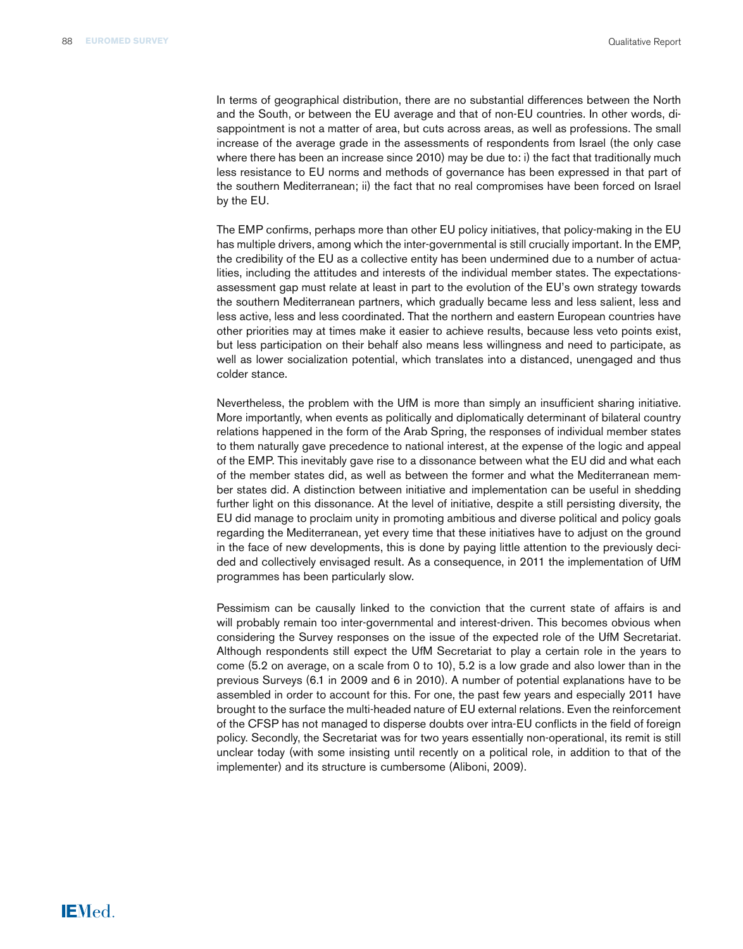In terms of geographical distribution, there are no substantial differences between the North and the South, or between the EU average and that of non-EU countries. In other words, disappointment is not a matter of area, but cuts across areas, as well as professions. The small increase of the average grade in the assessments of respondents from Israel (the only case where there has been an increase since 2010) may be due to: i) the fact that traditionally much less resistance to EU norms and methods of governance has been expressed in that part of the southern Mediterranean; ii) the fact that no real compromises have been forced on Israel by the EU.

The EMP confirms, perhaps more than other EU policy initiatives, that policy-making in the EU has multiple drivers, among which the inter-governmental is still crucially important. In the EMP, the credibility of the EU as a collective entity has been undermined due to a number of actualities, including the attitudes and interests of the individual member states. The expectationsassessment gap must relate at least in part to the evolution of the EU's own strategy towards the southern Mediterranean partners, which gradually became less and less salient, less and less active, less and less coordinated. That the northern and eastern European countries have other priorities may at times make it easier to achieve results, because less veto points exist, but less participation on their behalf also means less willingness and need to participate, as well as lower socialization potential, which translates into a distanced, unengaged and thus colder stance.

Nevertheless, the problem with the UfM is more than simply an insufficient sharing initiative. More importantly, when events as politically and diplomatically determinant of bilateral country relations happened in the form of the Arab Spring, the responses of individual member states to them naturally gave precedence to national interest, at the expense of the logic and appeal of the EMP. This inevitably gave rise to a dissonance between what the EU did and what each of the member states did, as well as between the former and what the Mediterranean member states did. A distinction between initiative and implementation can be useful in shedding further light on this dissonance. At the level of initiative, despite a still persisting diversity, the EU did manage to proclaim unity in promoting ambitious and diverse political and policy goals regarding the Mediterranean, yet every time that these initiatives have to adjust on the ground in the face of new developments, this is done by paying little attention to the previously decided and collectively envisaged result. As a consequence, in 2011 the implementation of UfM programmes has been particularly slow.

Pessimism can be causally linked to the conviction that the current state of affairs is and will probably remain too inter-governmental and interest-driven. This becomes obvious when considering the Survey responses on the issue of the expected role of the UfM Secretariat. Although respondents still expect the UfM Secretariat to play a certain role in the years to come (5.2 on average, on a scale from 0 to 10), 5.2 is a low grade and also lower than in the previous Surveys (6.1 in 2009 and 6 in 2010). A number of potential explanations have to be assembled in order to account for this. For one, the past few years and especially 2011 have brought to the surface the multi-headed nature of EU external relations. Even the reinforcement of the CFSP has not managed to disperse doubts over intra-EU conflicts in the field of foreign policy. Secondly, the Secretariat was for two years essentially non-operational, its remit is still unclear today (with some insisting until recently on a political role, in addition to that of the implementer) and its structure is cumbersome (Aliboni, 2009).

# **IEMed.**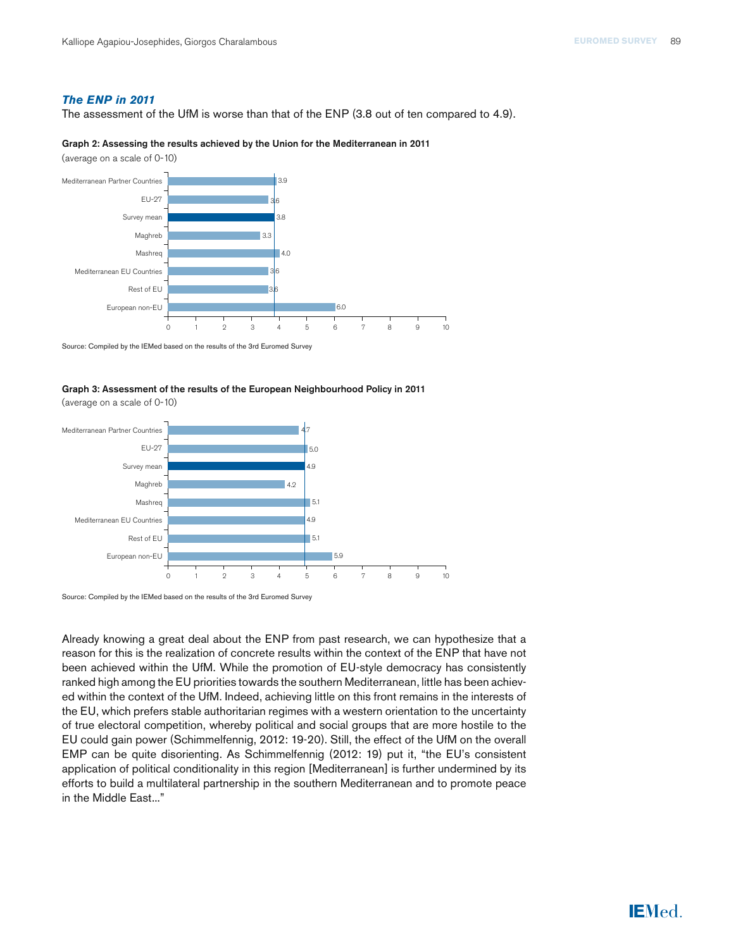# *The ENP in 2011*

The assessment of the UfM is worse than that of the ENP (3.8 out of ten compared to 4.9).

#### Graph 2: Assessing the results achieved by the Union for the Mediterranean in 2011

(average on a scale of 0-10)



Source: Compiled by the IEMed based on the results of the 3rd Euromed Survey

# Graph 3: Assessment of the results of the European Neighbourhood Policy in 2011

(average on a scale of 0-10)



Source: Compiled by the IEMed based on the results of the 3rd Euromed Survey

Already knowing a great deal about the ENP from past research, we can hypothesize that a reason for this is the realization of concrete results within the context of the ENP that have not been achieved within the UfM. While the promotion of EU-style democracy has consistently ranked high among the EU priorities towards the southern Mediterranean, little has been achieved within the context of the UfM. Indeed, achieving little on this front remains in the interests of the EU, which prefers stable authoritarian regimes with a western orientation to the uncertainty of true electoral competition, whereby political and social groups that are more hostile to the EU could gain power (Schimmelfennig, 2012: 19-20). Still, the effect of the UfM on the overall EMP can be quite disorienting. As Schimmelfennig (2012: 19) put it, "the EU's consistent application of political conditionality in this region [Mediterranean] is further undermined by its efforts to build a multilateral partnership in the southern Mediterranean and to promote peace in the Middle East..."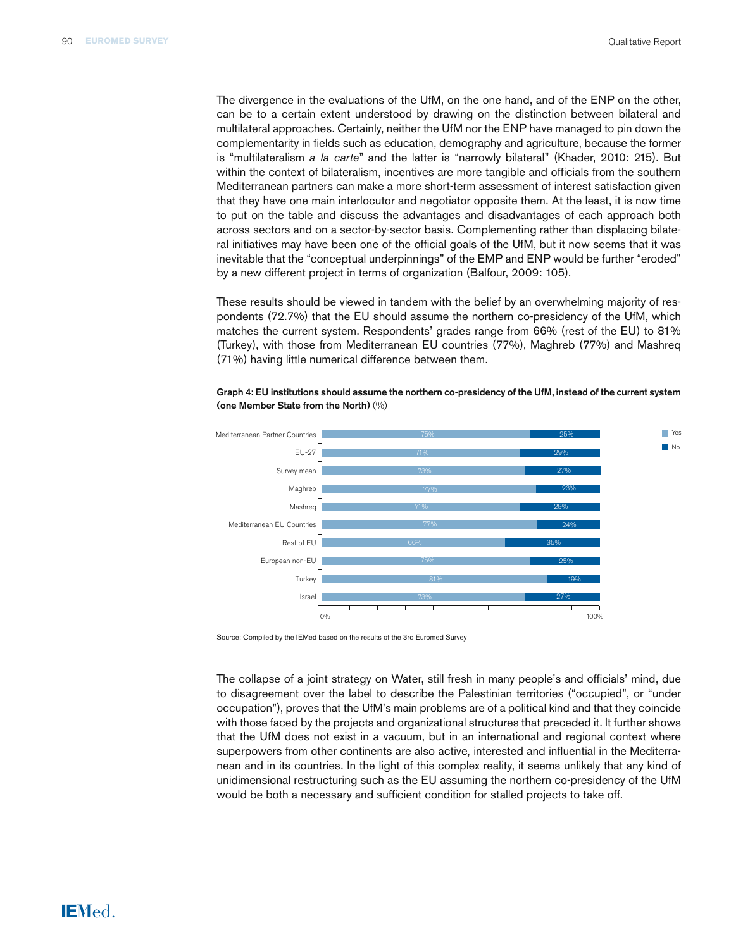The divergence in the evaluations of the UfM, on the one hand, and of the ENP on the other, can be to a certain extent understood by drawing on the distinction between bilateral and multilateral approaches. Certainly, neither the UfM nor the ENP have managed to pin down the complementarity in fields such as education, demography and agriculture, because the former is "multilateralism *a la carte*" and the latter is "narrowly bilateral" (Khader, 2010: 215). But within the context of bilateralism, incentives are more tangible and officials from the southern Mediterranean partners can make a more short-term assessment of interest satisfaction given that they have one main interlocutor and negotiator opposite them. At the least, it is now time to put on the table and discuss the advantages and disadvantages of each approach both across sectors and on a sector-by-sector basis. Complementing rather than displacing bilateral initiatives may have been one of the official goals of the UfM, but it now seems that it was inevitable that the "conceptual underpinnings" of the EMP and ENP would be further "eroded" by a new different project in terms of organization (Balfour, 2009: 105).

These results should be viewed in tandem with the belief by an overwhelming majority of respondents (72.7%) that the EU should assume the northern co-presidency of the UfM, which matches the current system. Respondents' grades range from 66% (rest of the EU) to 81% (Turkey), with those from Mediterranean EU countries (77%), Maghreb (77%) and Mashreq (71%) having little numerical difference between them.



Graph 4: EU institutions should assume the northern co-presidency of the UfM, instead of the current system (one Member State from the North) (%)

Source: Compiled by the IEMed based on the results of the 3rd Euromed Survey

The collapse of a joint strategy on Water, still fresh in many people's and officials' mind, due to disagreement over the label to describe the Palestinian territories ("occupied", or "under occupation"), proves that the UfM's main problems are of a political kind and that they coincide with those faced by the projects and organizational structures that preceded it. It further shows that the UfM does not exist in a vacuum, but in an international and regional context where superpowers from other continents are also active, interested and influential in the Mediterranean and in its countries. In the light of this complex reality, it seems unlikely that any kind of unidimensional restructuring such as the EU assuming the northern co-presidency of the UfM would be both a necessary and sufficient condition for stalled projects to take off.

# **IEMed.**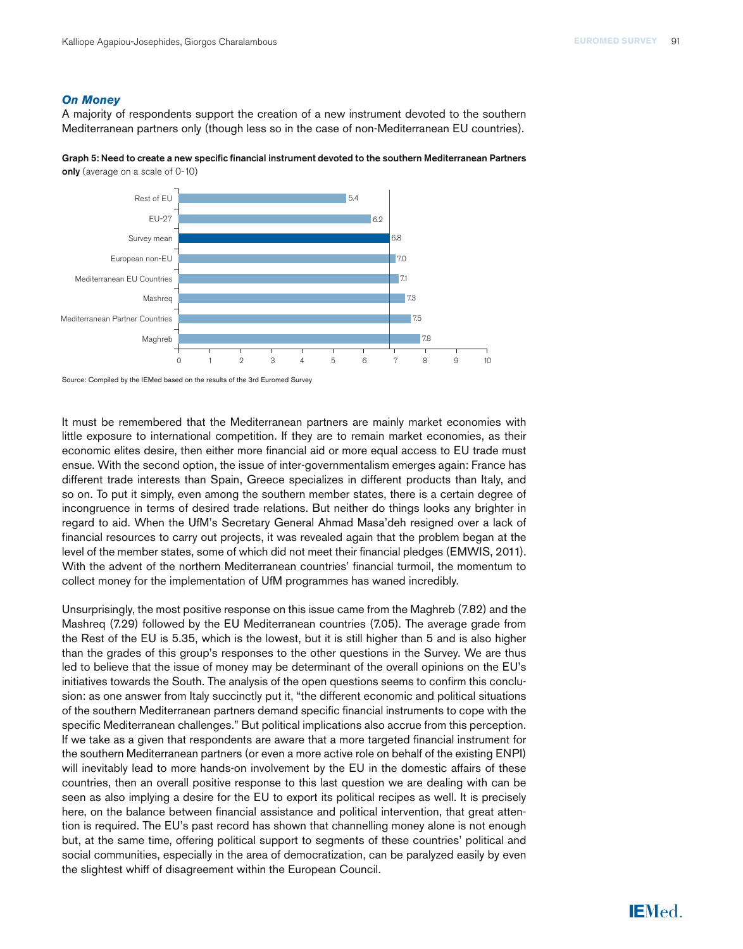# *On Money*

A majority of respondents support the creation of a new instrument devoted to the southern Mediterranean partners only (though less so in the case of non-Mediterranean EU countries).





Source: Compiled by the IEMed based on the results of the 3rd Euromed Survey

It must be remembered that the Mediterranean partners are mainly market economies with little exposure to international competition. If they are to remain market economies, as their economic elites desire, then either more financial aid or more equal access to EU trade must ensue. With the second option, the issue of inter-governmentalism emerges again: France has different trade interests than Spain, Greece specializes in different products than Italy, and so on. To put it simply, even among the southern member states, there is a certain degree of incongruence in terms of desired trade relations. But neither do things looks any brighter in regard to aid. When the UfM's Secretary General Ahmad Masa'deh resigned over a lack of financial resources to carry out projects, it was revealed again that the problem began at the level of the member states, some of which did not meet their financial pledges (EMWIS, 2011). With the advent of the northern Mediterranean countries' financial turmoil, the momentum to collect money for the implementation of UfM programmes has waned incredibly.

Unsurprisingly, the most positive response on this issue came from the Maghreb (7.82) and the Mashreq (7.29) followed by the EU Mediterranean countries (7.05). The average grade from the Rest of the EU is 5.35, which is the lowest, but it is still higher than 5 and is also higher than the grades of this group's responses to the other questions in the Survey. We are thus led to believe that the issue of money may be determinant of the overall opinions on the EU's initiatives towards the South. The analysis of the open questions seems to confirm this conclusion: as one answer from Italy succinctly put it, "the different economic and political situations of the southern Mediterranean partners demand specific financial instruments to cope with the specific Mediterranean challenges." But political implications also accrue from this perception. If we take as a given that respondents are aware that a more targeted financial instrument for the southern Mediterranean partners (or even a more active role on behalf of the existing ENPI) will inevitably lead to more hands-on involvement by the EU in the domestic affairs of these countries, then an overall positive response to this last question we are dealing with can be seen as also implying a desire for the EU to export its political recipes as well. It is precisely here, on the balance between financial assistance and political intervention, that great attention is required. The EU's past record has shown that channelling money alone is not enough but, at the same time, offering political support to segments of these countries' political and social communities, especially in the area of democratization, can be paralyzed easily by even the slightest whiff of disagreement within the European Council.